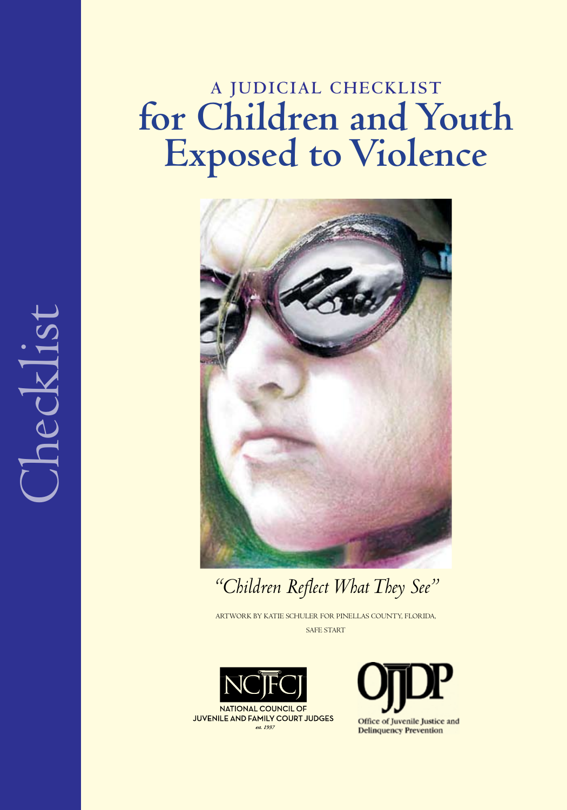# **A Judicial Checklist for Children and Youth Exposed to Violence**



*"Children Reflect What They See"*

ARTWORK BY KATIE SCHULER FOR PINELLAS COUNTY, FLORIDA, SAFE START





NATIONAL COUNCIL OF JUVENILE AND FAMILY COURT JUDGES est. 1937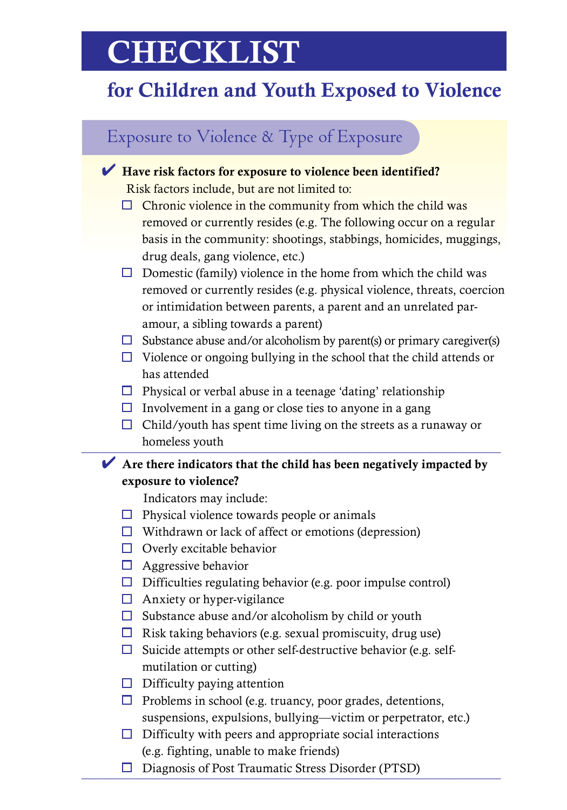# **CHECKLIST**

# for Children and Youth Exposed to Violence

### Exposure to Violence & Type of Exposure

#### $\blacktriangleright$  Have risk factors for exposure to violence been identified?

Risk factors include, but are not limited to:

- $\Box$  Chronic violence in the community from which the child was removed or currently resides (e.g. The following occur on a regular basis in the community: shootings, stabbings, homicides, muggings, drug deals, gang violence, etc.)
- $\Box$  Domestic (family) violence in the home from which the child was removed or currently resides (e.g. physical violence, threats, coercion or intimidation between parents, a parent and an unrelated paramour, a sibling towards a parent)
- $\Box$  Substance abuse and/or alcoholism by parent(s) or primary caregiver(s)
- $\Box$  Violence or ongoing bullying in the school that the child attends or has attended
- $\Box$  Physical or verbal abuse in a teenage 'dating' relationship
- $\Box$  Involvement in a gang or close ties to anyone in a gang
- $\Box$  Child/youth has spent time living on the streets as a runaway or homeless youth

#### $\blacktriangleright$  Are there indicators that the child has been negatively impacted by exposure to violence?

Indicators may include:

- $\Box$  Physical violence towards people or animals
- $\Box$  Withdrawn or lack of affect or emotions (depression)
- $\Box$  Overly excitable behavior
- $\Box$  Aggressive behavior
- $\Box$  Difficulties regulating behavior (e.g. poor impulse control)
- $\Box$  Anxiety or hyper-vigilance
- $\Box$  Substance abuse and/or alcoholism by child or youth
- $\Box$  Risk taking behaviors (e.g. sexual promiscuity, drug use)
- $\Box$  Suicide attempts or other self-destructive behavior (e.g. selfmutilation or cutting)
- $\Box$  Difficulty paying attention
- $\Box$  Problems in school (e.g. truancy, poor grades, detentions, suspensions, expulsions, bullying—victim or perpetrator, etc.)
- $\Box$  Difficulty with peers and appropriate social interactions (e.g. fighting, unable to make friends)
- $\Box$  Diagnosis of Post Traumatic Stress Disorder (PTSD)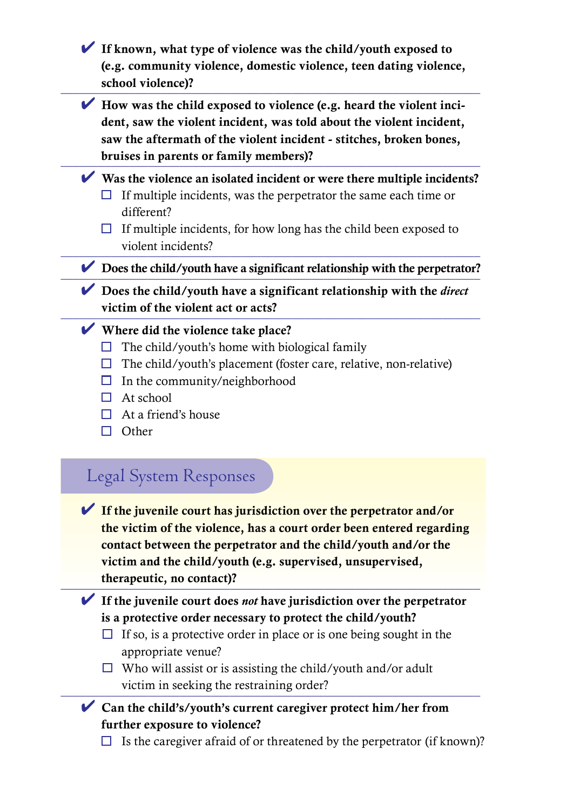| $\blacktriangleright$ How was the child exposed to violence (e.g. heard the violent inci-<br>dent, saw the violent incident, was told about the violent incident,<br>saw the aftermath of the violent incident - stitches, broken bones,<br>bruises in parents or family members)?         |
|--------------------------------------------------------------------------------------------------------------------------------------------------------------------------------------------------------------------------------------------------------------------------------------------|
| $\blacktriangleright$ Was the violence an isolated incident or were there multiple incidents?<br>If multiple incidents, was the perpetrator the same each time or<br>ш<br>different?                                                                                                       |
| If multiple incidents, for how long has the child been exposed to<br>ப<br>violent incidents?                                                                                                                                                                                               |
| $\triangleright$ Does the child/youth have a significant relationship with the perpetrator?                                                                                                                                                                                                |
| $\triangleright$ Does the child/youth have a significant relationship with the <i>direct</i><br>victim of the violent act or acts?                                                                                                                                                         |
| $\blacktriangleright$ Where did the violence take place?<br>The child/youth's home with biological family<br>ப<br>The child/youth's placement (foster care, relative, non-relative)<br>ப<br>In the community/neighborhood<br>ப<br>At school<br>H<br>At a friend's house<br>□<br>Other<br>П |
| Legal System Responses                                                                                                                                                                                                                                                                     |

therapeutic, no contact)?

4 If the juvenile court does *not* have jurisdiction over the perpetrator is a protective order necessary to protect the child/youth?

 $\Box$  If so, is a protective order in place or is one being sought in the appropriate venue?

 $\Box$  Who will assist or is assisting the child/youth and/or adult victim in seeking the restraining order?

- $\vee$  Can the child's/youth's current caregiver protect him/her from further exposure to violence?
	- $\Box$  Is the caregiver afraid of or threatened by the perpetrator (if known)?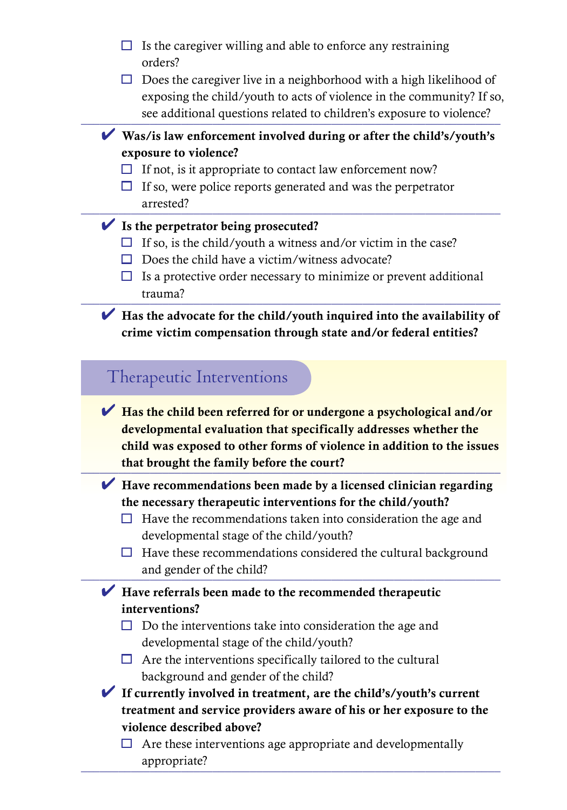- $\Box$  Is the caregiver willing and able to enforce any restraining orders?
- $\Box$  Does the caregiver live in a neighborhood with a high likelihood of exposing the child/youth to acts of violence in the community? If so, see additional questions related to children's exposure to violence?

#### $\blacktriangledown$  Was/is law enforcement involved during or after the child's/youth's exposure to violence?

- $\Box$  If not, is it appropriate to contact law enforcement now?
- $\Box$  If so, were police reports generated and was the perpetrator arrested?

#### $\blacktriangleright$  Is the perpetrator being prosecuted?

- $\Box$  If so, is the child/youth a witness and/or victim in the case?
- $\Box$  Does the child have a victim/witness advocate?
- $\Box$  Is a protective order necessary to minimize or prevent additional trauma? \_\_\_\_\_\_\_\_\_\_\_\_\_\_\_\_\_\_\_\_\_\_\_\_\_\_\_\_\_\_\_\_\_\_\_\_\_\_\_\_\_\_\_\_\_\_\_\_\_\_\_\_\_\_\_\_\_\_\_\_\_\_\_\_\_\_\_

#### $\blacktriangleright$  Has the advocate for the child/youth inquired into the availability of crime victim compensation through state and/or federal entities?

### Therapeutic Interventions

 $\blacktriangleright$  Has the child been referred for or undergone a psychological and/or developmental evaluation that specifically addresses whether the child was exposed to other forms of violence in addition to the issues that brought the family before the court?

 $\blacktriangleright$  Have recommendations been made by a licensed clinician regarding the necessary therapeutic interventions for the child/youth?

- $\Box$  Have the recommendations taken into consideration the age and developmental stage of the child/youth?
- $\Box$  Have these recommendations considered the cultural background and gender of the child?

#### $\blacktriangleright$  Have referrals been made to the recommended therapeutic interventions?

- $\Box$  Do the interventions take into consideration the age and developmental stage of the child/youth?
- $\Box$  Are the interventions specifically tailored to the cultural background and gender of the child?
- $\blacktriangleright$  If currently involved in treatment, are the child's/youth's current treatment and service providers aware of his or her exposure to the violence described above?
	- $\Box$  Are these interventions age appropriate and developmentally appropriate?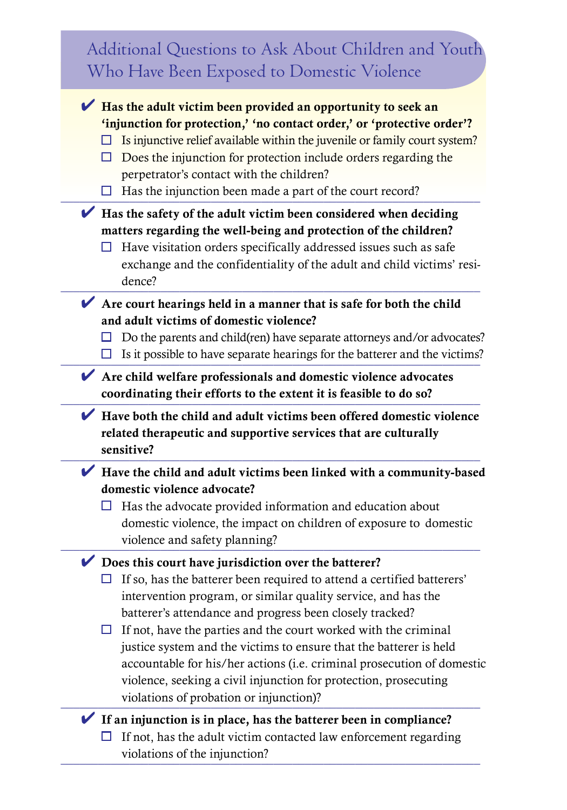| Additional Questions to Ask About Children and Youth<br>Who Have Been Exposed to Domestic Violence                                                                                                                                                                                                                                                                                                                                                                                                                                                                                                                  |
|---------------------------------------------------------------------------------------------------------------------------------------------------------------------------------------------------------------------------------------------------------------------------------------------------------------------------------------------------------------------------------------------------------------------------------------------------------------------------------------------------------------------------------------------------------------------------------------------------------------------|
| Has the adult victim been provided an opportunity to seek an<br>'injunction for protection,' 'no contact order,' or 'protective order'?<br>Is injunctive relief available within the juvenile or family court system?<br>Does the injunction for protection include orders regarding the<br>ப<br>perpetrator's contact with the children?<br>Has the injunction been made a part of the court record?                                                                                                                                                                                                               |
| $\blacktriangleright$ Has the safety of the adult victim been considered when deciding<br>matters regarding the well-being and protection of the children?<br>Have visitation orders specifically addressed issues such as safe<br>ப<br>exchange and the confidentiality of the adult and child victims' resi-<br>dence?                                                                                                                                                                                                                                                                                            |
| $\blacktriangleright$ Are court hearings held in a manner that is safe for both the child<br>and adult victims of domestic violence?<br>Do the parents and child(ren) have separate attorneys and/or advocates?<br>Is it possible to have separate hearings for the batterer and the victims?                                                                                                                                                                                                                                                                                                                       |
| Are child welfare professionals and domestic violence advocates<br>coordinating their efforts to the extent it is feasible to do so?                                                                                                                                                                                                                                                                                                                                                                                                                                                                                |
| $\blacktriangleright$ Have both the child and adult victims been offered domestic violence                                                                                                                                                                                                                                                                                                                                                                                                                                                                                                                          |
| related therapeutic and supportive services that are culturally<br>sensitive?                                                                                                                                                                                                                                                                                                                                                                                                                                                                                                                                       |
| Have the child and adult victims been linked with a community-based<br>domestic violence advocate?<br>Has the advocate provided information and education about<br>domestic violence, the impact on children of exposure to domestic<br>violence and safety planning?                                                                                                                                                                                                                                                                                                                                               |
| $\triangleright$ Does this court have jurisdiction over the batterer?<br>If so, has the batterer been required to attend a certified batterers'<br>intervention program, or similar quality service, and has the<br>batterer's attendance and progress been closely tracked?<br>If not, have the parties and the court worked with the criminal<br>ப<br>justice system and the victims to ensure that the batterer is held<br>accountable for his/her actions (i.e. criminal prosecution of domestic<br>violence, seeking a civil injunction for protection, prosecuting<br>violations of probation or injunction)? |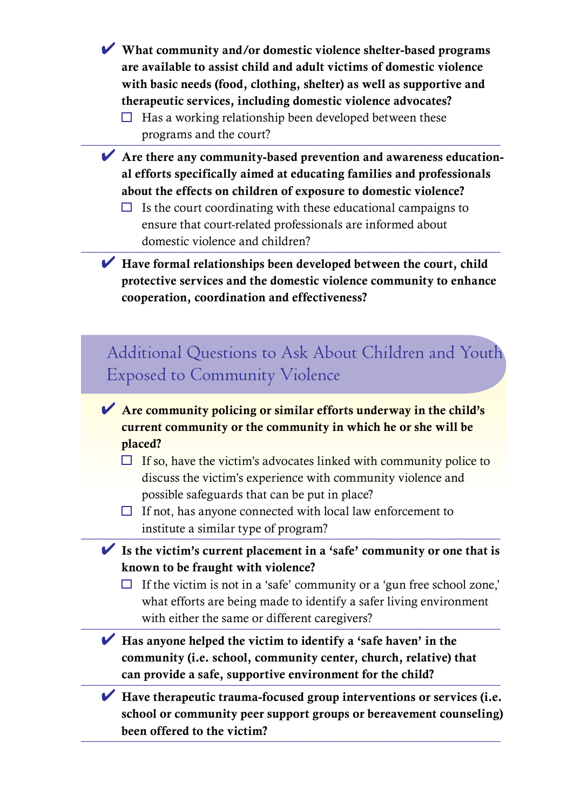- $\vee$  What community and/or domestic violence shelter-based programs are available to assist child and adult victims of domestic violence with basic needs (food, clothing, shelter) as well as supportive and therapeutic services, including domestic violence advocates?
	- $\Box$  Has a working relationship been developed between these programs and the court?
- $\blacktriangleright$  Are there any community-based prevention and awareness educational efforts specifically aimed at educating families and professionals about the effects on children of exposure to domestic violence?
	- $\Box$  Is the court coordinating with these educational campaigns to ensure that court-related professionals are informed about domestic violence and children?
- $\blacktriangleright$  Have formal relationships been developed between the court, child protective services and the domestic violence community to enhance cooperation, coordination and effectiveness?

## Additional Questions to Ask About Children and Youth Exposed to Community Violence

- $\blacktriangleright$  Are community policing or similar efforts underway in the child's current community or the community in which he or she will be placed?
	- $\Box$  If so, have the victim's advocates linked with community police to discuss the victim's experience with community violence and possible safeguards that can be put in place?
	- $\Box$  If not, has anyone connected with local law enforcement to institute a similar type of program?
- $\blacktriangleright$  Is the victim's current placement in a 'safe' community or one that is known to be fraught with violence?
	- $\Box$  If the victim is not in a 'safe' community or a 'gun free school zone,' what efforts are being made to identify a safer living environment with either the same or different caregivers?
- $\blacktriangleright$  Has anyone helped the victim to identify a 'safe haven' in the community (i.e. school, community center, church, relative) that can provide a safe, supportive environment for the child?

 $\blacktriangleright$  Have therapeutic trauma-focused group interventions or services (i.e. school or community peer support groups or bereavement counseling) been offered to the victim?